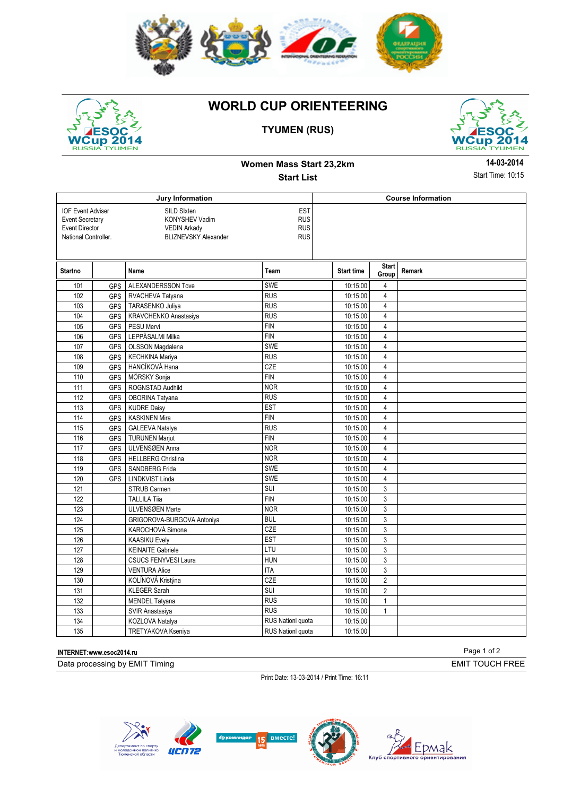



# **WORLD CUP ORIENTEERING**

## **TYUMEN (RUS)**



**Women Mass Start 23,2km Start List** 

**14-03-2014** Start Time: 10:15

|                                                                                                     |            | Jury Information                                                                                                                            |                          | <b>Course Information</b> |                         |        |  |
|-----------------------------------------------------------------------------------------------------|------------|---------------------------------------------------------------------------------------------------------------------------------------------|--------------------------|---------------------------|-------------------------|--------|--|
| <b>IOF Event Adviser</b><br><b>Event Secretary</b><br><b>Event Director</b><br>National Controller. |            | <b>EST</b><br>SILD Sixten<br><b>RUS</b><br>KONYSHEV Vadim<br><b>RUS</b><br><b>VEDIN Arkady</b><br><b>BLIZNEVSKY Alexander</b><br><b>RUS</b> |                          |                           |                         |        |  |
| <b>Startno</b>                                                                                      |            | Name                                                                                                                                        | Team                     | <b>Start time</b>         | <b>Start</b><br>Group   | Remark |  |
| 101                                                                                                 | <b>GPS</b> | ALEXANDERSSON Tove                                                                                                                          | <b>SWE</b>               | 10:15:00                  | 4                       |        |  |
| 102                                                                                                 | GPS        | RVACHEVA Tatyana                                                                                                                            | <b>RUS</b>               | 10:15:00                  | $\overline{4}$          |        |  |
| 103                                                                                                 | <b>GPS</b> | <b>TARASENKO Juliya</b>                                                                                                                     | <b>RUS</b>               | 10:15:00                  | $\overline{\mathbf{4}}$ |        |  |
| 104                                                                                                 | <b>GPS</b> | KRAVCHENKO Anastasiya                                                                                                                       | <b>RUS</b>               | 10:15:00                  | 4                       |        |  |
| 105                                                                                                 | <b>GPS</b> | PESU Mervi                                                                                                                                  | <b>FIN</b>               | 10:15:00                  | $\overline{4}$          |        |  |
| 106                                                                                                 | GPS        | LEPPÄSALMI Milka                                                                                                                            | <b>FIN</b>               | 10:15:00                  | $\overline{\mathbf{4}}$ |        |  |
| 107                                                                                                 | GPS        | OLSSON Magdalena                                                                                                                            | <b>SWE</b>               | 10:15:00                  | $\overline{4}$          |        |  |
| 108                                                                                                 | <b>GPS</b> | <b>KECHKINA Mariya</b>                                                                                                                      | <b>RUS</b>               | 10:15:00                  | $\overline{4}$          |        |  |
| 109                                                                                                 | <b>GPS</b> | HANCÍKOVÁ Hana                                                                                                                              | <b>CZE</b>               | 10:15:00                  | $\overline{\mathbf{4}}$ |        |  |
| 110                                                                                                 | <b>GPS</b> | MÖRSKY Sonja                                                                                                                                | <b>FIN</b>               | 10:15:00                  | 4                       |        |  |
| 111                                                                                                 | GPS        | ROGNSTAD Audhild                                                                                                                            | <b>NOR</b>               | 10:15:00                  | $\overline{\mathbf{4}}$ |        |  |
| 112                                                                                                 | <b>GPS</b> | OBORINA Tatyana                                                                                                                             | RUS                      | 10:15:00                  | $\overline{\mathbf{4}}$ |        |  |
| 113                                                                                                 | <b>GPS</b> | <b>KUDRE Daisy</b>                                                                                                                          | <b>EST</b>               | 10:15:00                  | $\overline{4}$          |        |  |
| 114                                                                                                 | GPS        | <b>KASKINEN Mira</b>                                                                                                                        | <b>FIN</b>               | 10:15:00                  | 4                       |        |  |
| 115                                                                                                 | GPS        | <b>GALEEVA Natalya</b>                                                                                                                      | <b>RUS</b>               | 10:15:00                  | $\overline{4}$          |        |  |
| 116                                                                                                 | <b>GPS</b> | <b>TURUNEN Marjut</b>                                                                                                                       | <b>FIN</b>               | 10:15:00                  | $\overline{4}$          |        |  |
| 117                                                                                                 | <b>GPS</b> | ULVENSØEN Anna                                                                                                                              | <b>NOR</b>               | 10:15:00                  | $\overline{4}$          |        |  |
| 118                                                                                                 | <b>GPS</b> | <b>HELLBERG Christina</b>                                                                                                                   | <b>NOR</b>               | 10:15:00                  | $\overline{\mathbf{4}}$ |        |  |
| 119                                                                                                 | <b>GPS</b> | SANDBERG Frida                                                                                                                              | SWE                      | 10:15:00                  | 4                       |        |  |
| 120                                                                                                 | <b>GPS</b> | LINDKVIST Linda                                                                                                                             | <b>SWE</b>               | 10:15:00                  | $\overline{4}$          |        |  |
| 121                                                                                                 |            | STRUB Carmen                                                                                                                                | SUI                      | 10:15:00                  | 3                       |        |  |
| 122                                                                                                 |            | <b>TALLILA Tiia</b>                                                                                                                         | FIN                      | 10:15:00                  | 3                       |        |  |
| 123                                                                                                 |            | ULVENSØEN Marte                                                                                                                             | <b>NOR</b>               | 10:15:00                  | 3                       |        |  |
| 124                                                                                                 |            | GRIGOROVA-BURGOVA Antoniya                                                                                                                  | <b>BUL</b>               | 10:15:00                  | 3                       |        |  |
| 125                                                                                                 |            | KAROCHOVÁ Simona                                                                                                                            | CZE                      | 10:15:00                  | 3                       |        |  |
| 126                                                                                                 |            | <b>KAASIKU Evely</b>                                                                                                                        | <b>EST</b>               | 10:15:00                  | 3                       |        |  |
| 127                                                                                                 |            | <b>KEINAITE Gabriele</b>                                                                                                                    | LTU                      | 10:15:00                  | 3                       |        |  |
| 128                                                                                                 |            | <b>CSUCS FENYVESI Laura</b>                                                                                                                 | <b>HUN</b>               | 10:15:00                  | 3                       |        |  |
| 129                                                                                                 |            | <b>VENTURA Alice</b>                                                                                                                        | <b>ITA</b>               | 10:15:00                  | 3                       |        |  |
| 130                                                                                                 |            | KOLÍNOVÁ Kristýna                                                                                                                           | <b>CZE</b>               | 10:15:00                  | $\overline{2}$          |        |  |
| 131                                                                                                 |            | <b>KLEGER Sarah</b>                                                                                                                         | SUI                      | 10:15:00                  | $\overline{2}$          |        |  |
| 132                                                                                                 |            | MENDEL Tatyana                                                                                                                              | RUS                      | 10:15:00                  | $\mathbf{1}$            |        |  |
| 133                                                                                                 |            | SVIR Anastasiya                                                                                                                             | <b>RUS</b>               | 10:15:00                  | $\mathbf{1}$            |        |  |
| 134                                                                                                 |            | KOZLOVA Natalya                                                                                                                             | <b>RUS Nationl quota</b> | 10:15:00                  |                         |        |  |
| 135                                                                                                 |            | TRETYAKOVA Kseniya                                                                                                                          | <b>RUS Nationl quota</b> | 10:15:00                  |                         |        |  |

Page 1 of 2 **INTERNET:www.esoc2014.ru**  Data processing by EMIT Timing

Print Date: 13-03-2014 / Print Time: 16:11